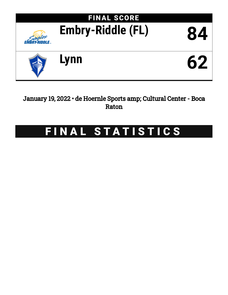

January 19, 2022 • de Hoernle Sports amp; Cultural Center - Boca Raton

# FINAL STATISTICS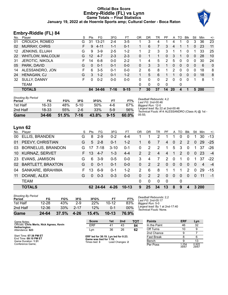# **Official Box Score Embry-Riddle (FL) vs Lynn Game Totals -- Final Statistics January 19, 2022 at de Hoernle Sports amp; Cultural Center - Boca Raton**



# **Embry-Riddle (FL) 84**

| No. | Plaver                  | S  | <b>Pts</b> | FG        | 3FG     | FT       | OR | DR.          | TR | PF       | A         | TO | <b>Blk</b> | Stl          | Min   | $+/-$        |
|-----|-------------------------|----|------------|-----------|---------|----------|----|--------------|----|----------|-----------|----|------------|--------------|-------|--------------|
| 01  | CROUCH, ROMEO           | G  | 31         | $13 - 21$ | 2-4     | $3-5$    |    | 3            | 4  |          | 4         |    | 0          | 3            | 36    | 23           |
| 02  | <b>MURRAY, CHRIS</b>    | F. | 9          | $4 - 11$  | 1-1     | $0 - 1$  |    | 6            |    | 3        | 4         |    |            | 0            | 23    | 11           |
| 12  | <b>JENKINS, ELIJAH</b>  | G  | 9          | $3-9$     | $2 - 5$ | $1 - 2$  |    | 2            | 3  | 3        |           |    |            |              | 33    | 25           |
| 22  | <b>WHITLOW, MALCOLM</b> | G  | 12         | $4 - 7$   | $2 - 3$ | $2 - 3$  | 0  |              | 1  | 0        | 3         |    | $\Omega$   | $\mathbf{0}$ | 28    | 10           |
| -31 | <b>JEROTIC, NIKOLA</b>  | F. | 14         | $6 - 8$   | $0 - 0$ | $2 - 2$  |    | 4            | 5  | 2        | 5         | 0  | $\Omega$   | $\Omega$     | 30    | 24           |
| 05  | PARK, DAVID             | G  | 0          | $0 - 1$   | 0-1     | $0 - 0$  | 0  | 3            | 3  | 1        | 0         | 0  | $\Omega$   | 0            | 6     | $\mathbf{0}$ |
| 14  | ALESSANDRO, JON         | F. | 6          | $3-5$     | $0 - 1$ | $0 - 0$  | 2  | 6            | 8  |          | 2         | 0  | 0          | 0            | 18    | 8            |
| 24  | <b>HENAGAN, CJ</b>      | G  | 3          | $1 - 2$   | 0-1     | $1 - 2$  |    | 5            | 6  |          |           | 0  | $\Omega$   | 0            | 18    | 8            |
| 32  | <b>SULLY, DANNY</b>     | F. | $\Omega$   | $0 - 2$   | 0-0     | $0 - 0$  | 0  | $\Omega$     | 0  | 2        | $\Omega$  | 0  | $\Omega$   | 1            | 8     | 1            |
|     | TEAM                    |    |            |           |         |          | 0  | $\mathbf{0}$ | 0  | $\Omega$ |           | 0  |            |              |       |              |
|     | <b>TOTALS</b>           |    |            | 84 34-66  | 7-16    | $9 - 15$ |    | 30           | 37 | 14       | <b>20</b> | 4  |            |              | 5 200 |              |

| Shooting By Period<br>Period | FG    | FG%   | 3FG    | 3FG%  | FТ       | FT%   |
|------------------------------|-------|-------|--------|-------|----------|-------|
| 1st Half                     | 16-33 | 48%   | $5-10$ | 50%   | 4-6      | 67%   |
| 2nd Half                     | 18-33 | 55%   | 2-6    | 33%   | $5-9$    | 56%   |
| Game                         | 34-66 | 51.5% | 7-16   | 43.8% | $9 - 15$ | 60.0% |

*Deadball Rebounds:* 4,2 *Last FG:* 2nd-00:46 *Biggest Run:* 12-0 *Largest lead:* By 22 at 2nd-00:46 *Technical Fouls:* #14 ALESSANDRO (Class A) @ 1st - 05:55;

# **Lynn 62**

| No. | Plaver                   | S  | Pts      | FG.        | 3FG      | FT      | OR             | DR | TR       | PF       | A              | TO.      | <b>Blk</b> | Stl          | Min   | $+/-$ |
|-----|--------------------------|----|----------|------------|----------|---------|----------------|----|----------|----------|----------------|----------|------------|--------------|-------|-------|
| 00  | ELLIS, BRANDEN           | G  | 8        | $2-9$      | $0 - 2$  | 4-4     |                |    | 2        |          |                | 0        | $\Omega$   |              | 30    | -13   |
| 01  | PEEVY, CHRISTIAN         | G  | 5        | $2 - 8$    | $0 - 1$  | $1 - 2$ |                | 6  |          | 4        | $\overline{0}$ | 2        | 2          | $\mathbf{0}$ | 29    | $-25$ |
| 03  | <b>BORNELUS, BRANDON</b> | G  | 17       | 7-18       | $3 - 10$ | $0 - 1$ | $\Omega$       | 2  | 2        | 1.       | 5              | 3        | $\Omega$   | 1.           | 37    | $-26$ |
| 10  | <b>KURNAZ, SERVET</b>    | F. | 13       | $4 - 7$    | $1 - 3$  | $4 - 4$ | $\overline{2}$ | 2  | 4        | 4        |                | 2        | 0          | $\mathbf{0}$ | -23   | $-4$  |
| 23  | <b>EVANS, JAMISON</b>    | G  | 6        | $3-9$      | $0 - 5$  | $0 - 0$ | 3              | 4  | 7        | 2        | $\Omega$       | 1        | $\Omega$   | 1.           | 37    | $-22$ |
| 02  | <b>BARTLETT, BRAXTON</b> | G  | $\Omega$ | $0 - 1$    | $0 - 1$  | $0 - 0$ | $\Omega$       | 2  | 2        | $\Omega$ | $\Omega$       | $\Omega$ | $\Omega$   | $\Omega$     | 4     | $-4$  |
| 04  | SANKARE, IBRAHIMA        | F. | 13       | $6-9$      | $0 - 1$  | $1 - 2$ | $\mathcal{P}$  | 6  | 8        | 1.       | 1              | 1        | 2          | $\Omega$     | 29    | $-15$ |
| 11  | DOANE, ALEX              | G  | $\Omega$ | $0 - 3$    | $0 - 3$  | $0 - 0$ | $\Omega$       | 2  | 2        | $\Omega$ | $\Omega$       | $\Omega$ | $\Omega$   | $\Omega$     | 11    | $-1$  |
|     | <b>TEAM</b>              |    |          |            |          |         | $\Omega$       | 0  | $\Omega$ | $\Omega$ |                | 0        |            |              |       |       |
|     | <b>TOTALS</b>            |    |          | 62 24 - 64 | 4-26     | $10-13$ | 9              | 25 | 34       | 13       | 8              | 9        | 4          |              | 3 200 |       |

| Game                                | 24-64     | 37.5% | 4-26     | 15.4% | $10-13$   | 76.9%  |
|-------------------------------------|-----------|-------|----------|-------|-----------|--------|
| 2nd Half                            | 12-36     | 33%   | $2 - 17$ | 12%   | በ-1       | $00\%$ |
| 1st Half                            | $12 - 28$ | 43%   | $2-9$    | 22%   | $10 - 12$ | 83%    |
| <b>Shooting By Period</b><br>Period | FG        | FG%   | 3FG      | 3FG%  | FТ        | FT%    |

*Deadball Rebounds:* 2,2 *Last FG:* 2nd-05:17 *Biggest Run:* 5-0 *Largest lead:* By 1 at 2nd-17:40 *Technical Fouls:* None.

| Game Notes:                                      | <b>Score</b>                             | 1st | 2 <sub>nd</sub> | тот               | <b>Points</b> | <b>ERF</b>     | Lyn            |
|--------------------------------------------------|------------------------------------------|-----|-----------------|-------------------|---------------|----------------|----------------|
| Officials: Chris Merlo, Nick Agress, Kevin       | ERF                                      | -41 | 43              | 84                | In the Paint  | 46             | 32             |
| Hetherington<br>Attendance: 623                  | Lyn                                      | 36  | 26              | 62                | Off Turns     | 10             |                |
|                                                  |                                          |     |                 |                   | 2nd Chance    |                |                |
| Start Time: 07:38 PM ET<br>End Time: 09:10 PM ET | ERF led for 38:19. Lyn led for 0:23.     |     |                 | <b>Fast Break</b> |               |                |                |
| Game Duration: 1:31                              | Game was tied for 1:18.<br>Times tied: 3 |     | Lead Changes: 2 |                   | Bench         |                | 13             |
| Conference Game;                                 |                                          |     |                 |                   | Per Poss      | 1.254<br>39/67 | 0.925<br>29/67 |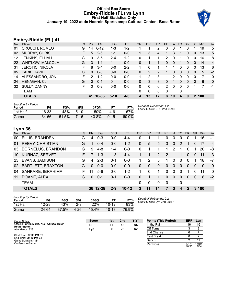## **Official Box Score Embry-Riddle (FL) vs Lynn First Half Statistics Only January 19, 2022 at de Hoernle Sports amp; Cultural Center - Boca Raton**



# **Embry-Riddle (FL) 41**

| No. | Player                  | S  | <b>Pts</b>   | FG.       | 3FG     | <b>FT</b> | <b>OR</b> | <b>DR</b> | <b>TR</b> | PF | A        | <b>TO</b>    | <b>B</b> lk  | Stl           | Min | $+/-$          |
|-----|-------------------------|----|--------------|-----------|---------|-----------|-----------|-----------|-----------|----|----------|--------------|--------------|---------------|-----|----------------|
| 01  | CROUCH, ROMEO           | G  | 14           | $6 - 12$  | 1-3     | $1 - 2$   |           |           | 2         | 0  | 3        |              |              |               | 19  | 5              |
| 02  | <b>MURRAY, CHRIS</b>    | F. | 5            | $2 - 6$   | $1 - 1$ | $0-0$     |           | 3         | 4         | 1  | 3        | 1            | 0            | $\mathbf{0}$  | 13  | 5              |
| 12  | JENKINS, ELIJAH         | G  | 9            | $3-5$     | 2-4     | $1 - 2$   | 0         | 1         |           | 2  | 0        |              | 0            | $\Omega$      | 16  | 8              |
| 22  | <b>WHITLOW, MALCOLM</b> | G  | 3            | $1 - 1$   | $1 - 1$ | $0-0$     | 0         |           |           | 0  | 0        |              | 0            | 0             | 14  | $\overline{4}$ |
| -31 | <b>JEROTIC, NIKOLA</b>  | F  | 8            | $3 - 4$   | $0 - 0$ | $2 - 2$   |           | 0         |           |    |          | 0            | 0            | 0             | 13  | 6              |
| 05  | PARK, DAVID             | G  | $\mathbf{0}$ | $0 - 0$   | $0 - 0$ | $0 - 0$   | 0         | 2         | 2         |    | 0        | $\mathbf{0}$ | $\mathbf{0}$ | 0             | 5   | $-2$           |
| 14  | ALESSANDRO, JON         | F. | 2            | $1 - 2$   | $0 - 0$ | $0 - 0$   |           | 2         | 3         |    | 2        | 0            | $\Omega$     | 0             | 7   | $\mathbf{0}$   |
| 24  | HENAGAN, CJ             | G  | $\Omega$     | $0 - 1$   | $0 - 1$ | $0 - 0$   | 0         | 3         | 3         | 0  |          | 0            | $\Omega$     | $\Omega$      | 6   | $\mathbf{0}$   |
| 32  | <b>SULLY, DANNY</b>     | F. | $\Omega$     | $0 - 2$   | $0-0$   | $0 - 0$   | 0         | 0         | $\Omega$  | 2  | $\Omega$ | $\Omega$     | $\Omega$     |               |     | -1             |
|     | <b>TEAM</b>             |    |              |           |         |           | 0         | 0         | 0         | 0  |          | 0            |              |               |     |                |
|     | <b>TOTALS</b>           |    | 41           | $16 - 33$ | $5-10$  | $4 - 6$   | 4         | 13        | 17        | 8  | 10       | 4            | $\mathbf{0}$ | $\mathcal{P}$ | 100 |                |

| <b>Shooting By Period</b><br>Period | FG        | FG%   | 3FG    | 3FG%  | FT       | FT%   | Deadball Rebounds: 4,2<br>Last FG Half: ERF 2nd-00:46 |
|-------------------------------------|-----------|-------|--------|-------|----------|-------|-------------------------------------------------------|
| 1st Half                            | 16-33     | 48%   | $5-10$ | 50%   | 4-6      | 67%   |                                                       |
| Game                                | $34 - 66$ | 51.5% | 7-16   | 43.8% | $9 - 15$ | 60.0% |                                                       |

# **Lynn 36**

| No.       | Plaver                   | S  | Pts      | FG.      | 3FG     | <b>FT</b> | <b>OR</b> | <b>DR</b>    | <b>TR</b> | PF          | A        | TO.      | <b>Blk</b> | Stl      | Min      | $+/-$    |
|-----------|--------------------------|----|----------|----------|---------|-----------|-----------|--------------|-----------|-------------|----------|----------|------------|----------|----------|----------|
| 00        | ELLIS, BRANDEN           | G  | 4        | $0 - 3$  | $0 - 0$ | 4-4       | 0         |              |           | 0           | $\Omega$ | 0        |            | 1        | 16       | -1       |
| 01        | PEEVY, CHRISTIAN         | G  |          | $0 - 4$  | $0 - 0$ | $1 - 2$   | 0         | 5            | 5         | 3           | $\Omega$ | 2        |            | 0        | 17       | $-4$     |
| 03        | <b>BORNELUS, BRANDON</b> | G  | 9        | $4 - 8$  | $1 - 4$ | $0-0$     | 0         |              |           | 1           | 2        | 1        | $\Omega$   | 1        | 20       | -8       |
| 10        | <b>KURNAZ, SERVET</b>    | F. |          | $1 - 3$  | $1 - 3$ | $4 - 4$   |           |              | 2         | 2           |          |          | $\Omega$   | $\Omega$ | -11      | $-3$     |
| <b>23</b> | EVANS, JAMISON           | G  | 4        | $2 - 3$  | $0 - 1$ | $0 - 0$   |           | 2            | 3         | 1           | $\Omega$ | $\Omega$ | $\Omega$   | 1        | 18       | $-7$     |
| 02        | <b>BARTLETT, BRAXTON</b> | G  | $\Omega$ | $0 - 0$  | $0 - 0$ | $0-0$     | $\Omega$  | $\Omega$     | $\Omega$  | $\Omega$    | $\Omega$ | 0        | $\Omega$   | 0        | $\Omega$ | $\Omega$ |
| 04        | SANKARE, IBRAHIMA        | F. | 11       | $5-6$    | $0 - 0$ | $1 - 2$   |           | $\Omega$     |           | 0           | $\Omega$ | $\Omega$ |            | 0        | 11       | $\Omega$ |
| 11        | DOANE, ALEX              | G  | $\Omega$ | $0 - 1$  | $0 - 1$ | $0-0$     | 0         |              |           | 0           | $\Omega$ | 0        | $\Omega$   | $\Omega$ | 8        | $-2$     |
|           | <b>TEAM</b>              |    |          |          |         |           | $\Omega$  | $\mathbf{0}$ | $\Omega$  | $\mathbf 0$ |          | 0        |            |          |          |          |
|           | <b>TOTALS</b>            |    |          | 36 12-28 | $2 - 9$ | $10-12$   | 3         | 11           | 14        | 7           | 3        | 4        | 2          |          | 3,100    |          |

| <b>Shooting By Period</b><br>Period | FG    | FG%   | 3FG  | 3FG%  | FТ        | FT%   |
|-------------------------------------|-------|-------|------|-------|-----------|-------|
| 1st Half                            | 12-28 | 43%   | 2-9  | 22%   | $10 - 12$ | 83%   |
| Game                                | 24-64 | 37.5% | 4-26 | 15.4% | $10 - 13$ | 76.9% |

*Deadball Rebounds:* 2,2 *Last FG Half:* Lyn 2nd-05:17

| Game Notes:                                                | <b>Score</b> | 1st | 2 <sub>nd</sub> | <b>TOT</b> | <b>Points (This Period)</b> | ERF   | Lyn           |
|------------------------------------------------------------|--------------|-----|-----------------|------------|-----------------------------|-------|---------------|
| Officials: Chris Merlo, Nick Agress, Kevin<br>Hetherington | <b>ERF</b>   | 41  | 43              | 84         | In the Paint                | 16    | 16            |
| Attendance: 623                                            | Lyn          | 36  | 26              | 62         | Off Turns                   |       |               |
|                                                            |              |     |                 |            | 2nd Chance                  |       |               |
| Start Time: 07:38 PM ET<br>End Time: 09:10 PM ET           |              |     |                 |            | <b>Fast Break</b>           |       |               |
| Game Duration: 1:31                                        |              |     |                 |            | Bench                       |       |               |
| Conference Game:                                           |              |     |                 |            | Per Poss                    | 18/35 | .059<br>17/34 |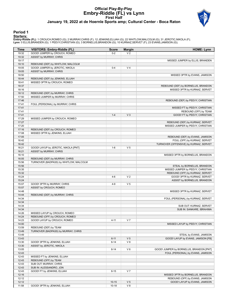# **Official Play-By-Play Embry-Riddle (FL) vs Lynn First Half January 19, 2022 at de Hoernle Sports amp; Cultural Center - Boca Raton**



## **Period 1**

#### **Starters:**

**Embry-Riddle (FL)**: 1 CROUCH,ROMEO (G); 2 MURRAY,CHRIS (F); 12 JENKINS,ELIJAH (G); 22 WHITLOW,MALCOLM (G); 31 JEROTIC,NIKOLA (F);<br>**Lynn**: 0 ELLIS,BRANDEN (G); 1 PEEVY,CHRISTIAN (G); 3 BORNELUS,BRANDON (G); 10 KURNAZ,SERVE

| Time           | VISITORS: Embry-Riddle (FL)            | <b>Score</b> | <b>Margin</b>  | <b>HOME: Lynn</b>                                               |
|----------------|----------------------------------------|--------------|----------------|-----------------------------------------------------------------|
| 19:32          | GOOD! JUMPER by CROUCH, ROMEO          | $0 - 2$      | V <sub>2</sub> |                                                                 |
| 19:32          | ASSIST by MURRAY, CHRIS                |              |                |                                                                 |
| 19:17          |                                        |              |                | MISSED JUMPER by ELLIS, BRANDEN                                 |
| 19:10          | REBOUND (DEF) by WHITLOW, MALCOLM      |              |                |                                                                 |
| 19:05          | GOOD! JUMPER by JEROTIC, NIKOLA        | $0 - 4$      | V <sub>4</sub> |                                                                 |
| 19:05          | ASSIST by MURRAY, CHRIS                |              |                |                                                                 |
| 18:50<br>18:44 | REBOUND (DEF) by JENKINS, ELIJAH       |              |                | MISSED 3PTR by EVANS, JAMISON                                   |
| 18:41          | MISSED 3PTR by CROUCH, ROMEO           |              |                |                                                                 |
| 18:37          |                                        |              |                | REBOUND (DEF) by BORNELUS, BRANDON                              |
| 18:16          |                                        |              |                | MISSED 3PTR by KURNAZ, SERVET                                   |
| 18:12          | REBOUND (DEF) by MURRAY, CHRIS         |              |                |                                                                 |
| 17:50          | MISSED JUMPER by MURRAY, CHRIS         |              |                |                                                                 |
| 17:46          |                                        |              |                | REBOUND (DEF) by PEEVY, CHRISTIAN                               |
| 17:41          | FOUL (PERSONAL) by MURRAY, CHRIS       |              |                |                                                                 |
| 17:41          |                                        |              |                | MISSED FT by PEEVY, CHRISTIAN                                   |
| 17:41          |                                        |              |                | REBOUND (OFF) by TEAM                                           |
| 17:41          |                                        | $1 - 4$      | V <sub>3</sub> | GOOD! FT by PEEVY, CHRISTIAN                                    |
| 17:29          | MISSED JUMPER by CROUCH, ROMEO         |              |                |                                                                 |
| 17:27          |                                        |              |                | REBOUND (DEF) by KURNAZ, SERVET                                 |
| 17:20          |                                        |              |                | MISSED JUMPER by PEEVY, CHRISTIAN                               |
| 17:16          | REBOUND (DEF) by CROUCH, ROMEO         |              |                |                                                                 |
| 17:08<br>17:05 | MISSED 3PTR by JENKINS, ELIJAH         |              |                |                                                                 |
| 16:42          |                                        |              |                | REBOUND (DEF) by EVANS, JAMISON<br>FOUL (OFF) by KURNAZ, SERVET |
| 16:42          |                                        |              |                | TURNOVER (OFFENSIVE) by KURNAZ, SERVET                          |
| 16:21          | GOOD! LAYUP by JEROTIC, NIKOLA [PNT]   | $1 - 6$      | V <sub>5</sub> |                                                                 |
| 16:21          | ASSIST by MURRAY, CHRIS                |              |                |                                                                 |
| 16:10          |                                        |              |                | MISSED 3PTR by BORNELUS, BRANDON                                |
| 16:05          | REBOUND (DEF) by MURRAY, CHRIS         |              |                |                                                                 |
| 15:56          | TURNOVER (BADPASS) by WHITLOW, MALCOLM |              |                |                                                                 |
| 15:56          |                                        |              |                | STEAL by BORNELUS, BRANDON                                      |
| 15:35          |                                        |              |                | MISSED JUMPER by PEEVY, CHRISTIAN                               |
| 15:32          |                                        |              |                | REBOUND (OFF) by KURNAZ, SERVET                                 |
| 15:24          |                                        | $4-6$        | V <sub>2</sub> | GOOD! 3PTR by KURNAZ, SERVET                                    |
| 15:24          |                                        |              |                | ASSIST by BORNELUS, BRANDON                                     |
| 15:07          | GOOD! 3PTR by MURRAY, CHRIS            | $4 - 9$      | V <sub>5</sub> |                                                                 |
| 15:07          | ASSIST by CROUCH, ROMEO                |              |                |                                                                 |
| 14:48<br>14:44 |                                        |              |                | MISSED 3PTR by KURNAZ, SERVET                                   |
| 14:34          | REBOUND (DEF) by MURRAY, CHRIS         |              |                | FOUL (PERSONAL) by KURNAZ, SERVET                               |
| 14:34          |                                        |              |                |                                                                 |
| 14:34          |                                        |              |                | SUB OUT: KURNAZ, SERVET                                         |
| 14:34          |                                        |              |                | SUB IN: SANKARE, IBRAHIMA                                       |
| 14:26          | MISSED LAYUP by CROUCH, ROMEO          |              |                |                                                                 |
| 14:24          | REBOUND (OFF) by CROUCH, ROMEO         |              |                |                                                                 |
| 14:23          | GOOD! LAYUP by CROUCH, ROMEO           | $4 - 11$     | V <sub>7</sub> |                                                                 |
| 14:00          |                                        |              |                | MISSED LAYUP by PEEVY, CHRISTIAN                                |
| 13:59          | REBOUND (DEF) by TEAM                  |              |                |                                                                 |
| 13:49          | TURNOVER (BADPASS) by MURRAY, CHRIS    |              |                |                                                                 |
| 13:49          |                                        |              |                | STEAL by EVANS, JAMISON                                         |
| 13:43          |                                        | $6 - 11$     | V <sub>5</sub> | GOOD! LAYUP by EVANS, JAMISON [FB]                              |
| 13:30          | GOOD! 3PTR by JENKINS, ELIJAH          | $6 - 14$     | V8             |                                                                 |
| 13:30          | ASSIST by JEROTIC, NIKOLA              |              |                |                                                                 |
| 13:05          |                                        | $8 - 14$     | V6             | GOOD! JUMPER by BORNELUS, BRANDON [PNT]                         |
| 12:43<br>12:43 | MISSED FT by JENKINS, ELIJAH           |              |                | FOUL (PERSONAL) by EVANS, JAMISON                               |
| 12:43          | REBOUND (OFF) by TEAM                  |              |                |                                                                 |
| 12:43          | SUB OUT: MURRAY, CHRIS                 |              |                |                                                                 |
| 12:43          | SUB IN: ALESSANDRO, JON                |              |                |                                                                 |
| 12:43          | GOOD! FT by JENKINS, ELIJAH            | $8 - 15$     | V <sub>7</sub> |                                                                 |
| 12:16          |                                        |              |                | MISSED 3PTR by BORNELUS, BRANDON                                |
| 12:12          |                                        |              |                | REBOUND (OFF) by EVANS, JAMISON                                 |
| 12:12          |                                        | $10 - 15$    | V <sub>5</sub> | GOOD! LAYUP by EVANS, JAMISON                                   |
| 11:58          | GOOD! 3PTR by JENKINS, ELIJAH          | $10 - 18$    | V8             |                                                                 |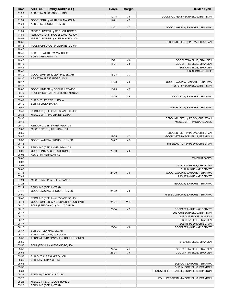| <b>Time</b>    | VISITORS: Embry-Riddle (FL)                                              | <b>Score</b> | <b>Margin</b>  | <b>HOME: Lynn</b>                                               |
|----------------|--------------------------------------------------------------------------|--------------|----------------|-----------------------------------------------------------------|
| 11:58          | ASSIST by ALESSANDRO, JON                                                |              |                |                                                                 |
| 11:47          |                                                                          | $12 - 18$    | $V_6$          | GOOD! JUMPER by BORNELUS, BRANDON                               |
| 11:34<br>11:34 | GOOD! 3PTR by WHITLOW, MALCOLM                                           | $12 - 21$    | V <sub>9</sub> |                                                                 |
| 11:15          | ASSIST by CROUCH, ROMEO                                                  | $14 - 21$    | V <sub>7</sub> | GOOD! LAYUP by SANKARE, IBRAHIMA                                |
| 11:04          | MISSED JUMPER by CROUCH, ROMEO                                           |              |                |                                                                 |
| 11:00          | REBOUND (OFF) by ALESSANDRO, JON                                         |              |                |                                                                 |
| 10:58          | MISSED JUMPER by ALESSANDRO, JON                                         |              |                |                                                                 |
| 10:56          |                                                                          |              |                | REBOUND (DEF) by PEEVY, CHRISTIAN                               |
| 10:46          | FOUL (PERSONAL) by JENKINS, ELIJAH                                       |              |                |                                                                 |
| 10:46          |                                                                          |              |                |                                                                 |
| 10:46<br>10:46 | SUB OUT: WHITLOW, MALCOLM<br>SUB IN: HENAGAN, CJ                         |              |                |                                                                 |
| 10:46          |                                                                          | $15 - 21$    | $V_6$          | GOOD! FT by ELLIS, BRANDEN                                      |
| 10:46          |                                                                          | $16 - 21$    | V <sub>5</sub> | GOOD! FT by ELLIS, BRANDEN                                      |
| 10:46          |                                                                          |              |                | SUB OUT: ELLIS, BRANDEN                                         |
| 10:46          |                                                                          |              |                | SUB IN: DOANE, ALEX                                             |
| 10:30          | GOOD! JUMPER by JENKINS, ELIJAH                                          | 16-23        | V <sub>7</sub> |                                                                 |
| 10:30          | ASSIST by ALESSANDRO, JON                                                |              |                |                                                                 |
| 10:17<br>10:17 |                                                                          | 18-23        | V <sub>5</sub> | GOOD! LAYUP by SANKARE, IBRAHIMA<br>ASSIST by BORNELUS, BRANDON |
| 10:07          | GOOD! JUMPER by CROUCH, ROMEO                                            | 18-25        | V <sub>7</sub> |                                                                 |
| 09:49          | FOUL (PERSONAL) by JEROTIC, NIKOLA                                       |              |                |                                                                 |
| 09:49          |                                                                          | 19-25        | $V_6$          | GOOD! FT by SANKARE, IBRAHIMA                                   |
| 09:49          | SUB OUT: JEROTIC, NIKOLA                                                 |              |                |                                                                 |
| 09:49          | SUB IN: SULLY, DANNY                                                     |              |                |                                                                 |
| 09:49          |                                                                          |              |                | MISSED FT by SANKARE, IBRAHIMA                                  |
| 09:49          | REBOUND (DEF) by ALESSANDRO, JON                                         |              |                |                                                                 |
| 09:38<br>09:35 | MISSED 3PTR by JENKINS, ELIJAH                                           |              |                | REBOUND (DEF) by PEEVY, CHRISTIAN                               |
| 09:13          |                                                                          |              |                | MISSED 3PTR by DOANE, ALEX                                      |
| 09:10          | REBOUND (DEF) by HENAGAN, CJ                                             |              |                |                                                                 |
| 09:03          | MISSED 3PTR by HENAGAN, CJ                                               |              |                |                                                                 |
| 08:59          |                                                                          |              |                | REBOUND (DEF) by PEEVY, CHRISTIAN                               |
| 08:45          |                                                                          | 22-25        | $V_3$          | GOOD! 3PTR by BORNELUS, BRANDON                                 |
| 08:30          | GOOD! LAYUP by CROUCH, ROMEO                                             | 22-27        | V <sub>5</sub> |                                                                 |
| 08:16<br>08:14 | REBOUND (DEF) by HENAGAN, CJ                                             |              |                | MISSED LAYUP by PEEVY, CHRISTIAN                                |
| 08:06          | GOOD! 3PTR by CROUCH, ROMEO                                              | 22-30        | V8             |                                                                 |
| 08:06          | ASSIST by HENAGAN, CJ                                                    |              |                |                                                                 |
| 08:03          |                                                                          |              |                | TIMEOUT 30SEC                                                   |
| 08:03          |                                                                          |              |                |                                                                 |
| 08:03          |                                                                          |              |                | SUB OUT: PEEVY, CHRISTIAN                                       |
| 08:03          |                                                                          |              |                | SUB IN: KURNAZ, SERVET                                          |
| 07:41<br>07:41 |                                                                          | 24-30        | $V_6$          | GOOD! LAYUP by SANKARE, IBRAHIMA<br>ASSIST by KURNAZ, SERVET    |
| 07:24          | MISSED LAYUP by SULLY, DANNY                                             |              |                |                                                                 |
| 07:24          |                                                                          |              |                | BLOCK by SANKARE, IBRAHIMA                                      |
| 07:24          | REBOUND (OFF) by TEAM                                                    |              |                |                                                                 |
| 07:11          | GOOD! LAYUP by CROUCH, ROMEO                                             | 24-32        | V8             |                                                                 |
| 06:50          |                                                                          |              |                | MISSED LAYUP by SANKARE, IBRAHIMA                               |
| 06:48          | REBOUND (DEF) by ALESSANDRO, JON                                         |              |                |                                                                 |
| 06:41<br>06:17 | GOOD! JUMPER by ALESSANDRO, JON [PNT]<br>FOUL (PERSONAL) by SULLY, DANNY | 24-34        | $V$ 10         |                                                                 |
| 06:17          |                                                                          | 25-34        | V <sub>9</sub> | GOOD! FT by KURNAZ, SERVET                                      |
| 06:17          |                                                                          |              |                | SUB OUT: BORNELUS, BRANDON                                      |
| 06:17          |                                                                          |              |                | SUB OUT: EVANS, JAMISON                                         |
| 06:17          |                                                                          |              |                | SUB IN: ELLIS, BRANDEN                                          |
| 06:17          |                                                                          |              |                | SUB IN: PEEVY, CHRISTIAN                                        |
| 06:17          |                                                                          | 26-34        | V8             | GOOD! FT by KURNAZ, SERVET                                      |
| 06:17          | SUB OUT: JENKINS, ELIJAH                                                 |              |                |                                                                 |
| 06:17<br>05:59 | SUB IN: WHITLOW, MALCOLM<br>TURNOVER (BADPASS) by CROUCH, ROMEO          |              |                |                                                                 |
| 05:59          |                                                                          |              |                | STEAL by ELLIS, BRANDEN                                         |
| 05:55          | FOUL (TECH) by ALESSANDRO, JON                                           |              |                |                                                                 |
| 05:55          |                                                                          | 27-34        | V <sub>7</sub> | GOOD! FT by ELLIS, BRANDEN                                      |
| 05:55          |                                                                          | 28-34        | $V_6$          | GOOD! FT by ELLIS, BRANDEN                                      |
| 05:55          | SUB OUT: ALESSANDRO, JON                                                 |              |                |                                                                 |
| 05:55          | SUB IN: MURRAY, CHRIS                                                    |              |                |                                                                 |
| 05:55          |                                                                          |              |                | SUB OUT: SANKARE, IBRAHIMA                                      |
| 05:55          |                                                                          |              |                | SUB IN: BORNELUS, BRANDON                                       |
| 05:31<br>05:31 | STEAL by CROUCH, ROMEO                                                   |              |                | TURNOVER (LOSTBALL) by BORNELUS, BRANDON                        |
| 05:28          |                                                                          |              |                | FOUL (PERSONAL) by BORNELUS, BRANDON                            |
| 05:28          | MISSED FT by CROUCH, ROMEO                                               |              |                |                                                                 |
| 05:28          | REBOUND (OFF) by TEAM                                                    |              |                |                                                                 |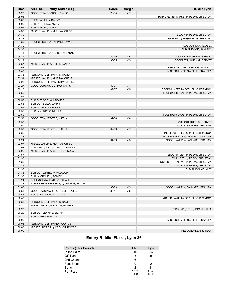| Time           | <b>VISITORS: Embry-Riddle (FL)</b>              | <b>Score</b> | <b>Margin</b>  | <b>HOME: Lynn</b>                        |
|----------------|-------------------------------------------------|--------------|----------------|------------------------------------------|
| 05:28          | GOOD! FT by CROUCH, ROMEO                       | 28-35        | V <sub>7</sub> |                                          |
| 05:06          |                                                 |              |                | TURNOVER (BADPASS) by PEEVY, CHRISTIAN   |
| 05:06          | STEAL by SULLY, DANNY                           |              |                |                                          |
| 05:06          | SUB OUT: HENAGAN, CJ                            |              |                |                                          |
| 05:06          | SUB IN: PARK, DAVID                             |              |                |                                          |
| 04:39          | MISSED LAYUP by MURRAY, CHRIS                   |              |                |                                          |
| 04:39          |                                                 |              |                | BLOCK by PEEVY, CHRISTIAN                |
| 04:34          |                                                 |              |                | REBOUND (DEF) by ELLIS, BRANDEN          |
| 04:30          | FOUL (PERSONAL) by PARK, DAVID                  |              |                |                                          |
| 04:30          |                                                 |              |                | SUB OUT: DOANE, ALEX                     |
| 04:30          |                                                 |              |                | SUB IN: EVANS, JAMISON                   |
| 04:19          | FOUL (PERSONAL) by SULLY, DANNY                 |              |                |                                          |
| 04:19          |                                                 | 29-35        | $V_6$          | GOOD! FT by KURNAZ, SERVET               |
| 04:19          |                                                 | 30-35        | V <sub>5</sub> | GOOD! FT by KURNAZ, SERVET               |
| 03:57          | MISSED LAYUP by SULLY, DANNY                    |              |                |                                          |
| 03:54          |                                                 |              |                | REBOUND (DEF) by EVANS, JAMISON          |
| 03:40          |                                                 |              |                | MISSED JUMPER by ELLIS, BRANDEN          |
| 03:36          | REBOUND (DEF) by PARK, DAVID                    |              |                |                                          |
| 03:31          | MISSED LAYUP by MURRAY, CHRIS                   |              |                |                                          |
| 03:28          | REBOUND (OFF) by MURRAY, CHRIS                  |              |                |                                          |
| 03:27          | GOOD! LAYUP by MURRAY, CHRIS                    | 30-37        | V <sub>7</sub> |                                          |
| 03:10          |                                                 | 32-37        | V <sub>5</sub> | GOOD! JUMPER by BORNELUS, BRANDON        |
| 02:56          |                                                 |              |                | FOUL (PERSONAL) by PEEVY, CHRISTIAN      |
| 02:56<br>02:56 |                                                 |              |                |                                          |
| 02:56          | SUB OUT: CROUCH, ROMEO<br>SUB OUT: SULLY, DANNY |              |                |                                          |
| 02:56          | SUB IN: JENKINS, ELIJAH                         |              |                |                                          |
| 02:56          | SUB IN: JEROTIC, NIKOLA                         |              |                |                                          |
| 02:50          |                                                 |              |                | FOUL (PERSONAL) by PEEVY, CHRISTIAN      |
| 02:50          | GOOD! FT by JEROTIC, NIKOLA                     | 32-38        | $V_6$          |                                          |
| 02:50          |                                                 |              |                | SUB OUT: KURNAZ, SERVET                  |
| 02:50          |                                                 |              |                | SUB IN: SANKARE, IBRAHIMA                |
| 02:50          | GOOD! FT by JEROTIC, NIKOLA                     | 32-39        | V <sub>7</sub> |                                          |
| 02:32          |                                                 |              |                | MISSED 3PTR by BORNELUS, BRANDON         |
| 02:24          |                                                 |              |                | REBOUND (OFF) by SANKARE, IBRAHIMA       |
| 02:24          |                                                 | 34-39        | V <sub>5</sub> | GOOD! LAYUP by SANKARE, IBRAHIMA         |
| 02:07          | MISSED LAYUP by MURRAY, CHRIS                   |              |                |                                          |
| 02:04          | REBOUND (OFF) by JEROTIC, NIKOLA                |              |                |                                          |
| 02:02          | MISSED LAYUP by JEROTIC, NIKOLA                 |              |                |                                          |
| 01:57          |                                                 |              |                | REBOUND (DEF) by PEEVY, CHRISTIAN        |
| 01:36          |                                                 |              |                | FOUL (OFF) by PEEVY, CHRISTIAN           |
| 01:36          |                                                 |              |                | TURNOVER (OFFENSIVE) by PEEVY, CHRISTIAN |
| 01:36          |                                                 |              |                | SUB OUT: PEEVY, CHRISTIAN                |
| 01:36          |                                                 |              |                | SUB IN: DOANE, ALEX                      |
| 01:36          | SUB OUT: WHITLOW, MALCOLM                       |              |                |                                          |
| 01:36          | SUB IN: CROUCH, ROMEO                           |              |                |                                          |
| 01:24          | FOUL (OFF) by JENKINS, ELIJAH                   |              |                |                                          |
| 01:24          | TURNOVER (OFFENSIVE) by JENKINS, ELIJAH         |              |                |                                          |
| 01:05          |                                                 | 36-39        | $V_3$          | GOOD! LAYUP by SANKARE, IBRAHIMA         |
| 00:53          | GOOD! LAYUP by JEROTIC, NIKOLA [PNT]            | 36-41        | V <sub>5</sub> |                                          |
| 00:53          | ASSIST by CROUCH, ROMEO                         |              |                |                                          |
| 00:40          |                                                 |              |                | MISSED LAYUP by BORNELUS, BRANDON        |
| 00:38          | REBOUND (DEF) by PARK, DAVID                    |              |                |                                          |
| 00:30          | MISSED 3PTR by CROUCH, ROMEO                    |              |                |                                          |
| 00:27          |                                                 |              |                | REBOUND (DEF) by DOANE, ALEX             |
| 00:20          | SUB OUT: JENKINS, ELIJAH                        |              |                |                                          |
| 00:20          | SUB IN: HENAGAN, CJ                             |              |                |                                          |
| 00:05          |                                                 |              |                | MISSED JUMPER by ELLIS, BRANDEN          |
| 00:03          | REBOUND (DEF) by HENAGAN, CJ                    |              |                |                                          |
| 00:00          | MISSED JUMPER by CROUCH, ROMEO                  |              |                |                                          |
| 00:00          |                                                 |              |                | REBOUND (DEF) by TEAM                    |

# **Embry-Riddle (FL) 41, Lynn 36**

| <b>Points (This Period)</b> | <b>ERF</b>       | Lyn            |
|-----------------------------|------------------|----------------|
| In the Paint                | 16               | 16             |
| Off Turns                   |                  |                |
| 2nd Chance                  |                  |                |
| <b>Fast Break</b>           |                  |                |
| Bench                       |                  |                |
| Per Poss                    | 1 1 7 1<br>18/35 | 1.059<br>17/34 |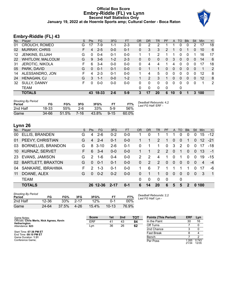## **Official Box Score Embry-Riddle (FL) vs Lynn Second Half Statistics Only January 19, 2022 at de Hoernle Sports amp; Cultural Center - Boca Raton**



# **Embry-Riddle (FL) 43**

| No. | Plaver                  | S  | <b>Pts</b> | FG       | 3FG     | <b>FT</b> | <b>OR</b> | <b>DR</b> | TR       | PF | A  | TO       | <b>B</b> lk  | Stl          | Min | $+/-$ |
|-----|-------------------------|----|------------|----------|---------|-----------|-----------|-----------|----------|----|----|----------|--------------|--------------|-----|-------|
| 01  | CROUCH, ROMEO           | G  | 17         | 7-9      | $1 - 1$ | $2 - 3$   | 0         | 2         | 2        |    |    | 0        | 0            | 2            | 17  | 18    |
| 02  | <b>MURRAY, CHRIS</b>    | F. | 4          | $2 - 5$  | $0 - 0$ | $0 - 1$   | 0         | 3         | 3        | 2  |    | 0        |              | 0            | 10  | 6     |
| 12  | JENKINS, ELIJAH         | G  | 0          | $0 - 4$  | $0 - 1$ | $0 - 0$   |           | 1         | 2        |    |    | 0        | 0            |              | 16  | 17    |
| 22  | <b>WHITLOW, MALCOLM</b> | G  | 9          | $3-6$    | $1 - 2$ | $2 - 3$   | 0         | 0         | $\Omega$ | 0  | 3  | $\Omega$ | $\mathbf{0}$ | $\mathbf{0}$ | 14  | 6     |
| 31  | <b>JEROTIC, NIKOLA</b>  | F. | 6          | $3 - 4$  | $0 - 0$ | $0 - 0$   | 0         | 4         | 4        |    | 4  | 0        | 0            | 0            | 17  | 18    |
| 05  | PARK, DAVID             | G  | 0          | $0 - 1$  | $0 - 1$ | $0 - 0$   | 0         |           |          | 0  | 0  | $\Omega$ | $\Omega$     | 0            | 1   | 2     |
| 14  | ALESSANDRO, JON         | F  | 4          | $2 - 3$  | $0 - 1$ | $0 - 0$   | 1         | 4         | 5        | 0  | 0  | 0        | 0            | 0            | 12  | 8     |
| 24  | <b>HENAGAN, CJ</b>      | G  | 3          | $1 - 1$  | $0 - 0$ | $1 - 2$   |           | 2         | 3        | 1  | 0  | $\Omega$ | $\Omega$     | 0            | 12  | 8     |
| 32  | <b>SULLY, DANNY</b>     | F  | 0          | $0 - 0$  | $0 - 0$ | $0 - 0$   | 0         | 0         | 0        | 0  | 0  | 0        | 0            | 0            | 1   | 2     |
|     | TEAM                    |    |            |          |         |           | 0         | 0         | 0        | 0  |    | 0        |              |              |     |       |
|     | <b>TOTALS</b>           |    |            | 43 18-33 | 2-6     | $5-9$     | 3         | 17        | 20       | 6  | 10 | 0        |              | 3            | 100 |       |

| <b>Shooting By Period</b><br>Period | FG    | FG%   | 3FG  | 3FG%  | FТ       | FT%   | Deadball Rebounds: 4,2<br>Last FG Half: ERF - |
|-------------------------------------|-------|-------|------|-------|----------|-------|-----------------------------------------------|
| 2nd Half                            | 18-33 | 55%   | 2-6  | 33%   | $5-9$    | 56%   |                                               |
| Game                                | 34-66 | 51.5% | 7-16 | 43.8% | $9 - 15$ | 60.0% |                                               |

# **Lynn 26**

| No. | Plaver                   | S. | <b>Pts</b>    | FG        | 3FG      | FT      | <b>OR</b>     | DR | TR       | <b>PF</b>     | A        | $-TO$    | <b>Blk</b> | Stl      | Min   | $+/-$          |
|-----|--------------------------|----|---------------|-----------|----------|---------|---------------|----|----------|---------------|----------|----------|------------|----------|-------|----------------|
| 00  | ELLIS, BRANDEN           | G  | 4             | $2 - 6$   | $0 - 2$  | $0 - 0$ |               | 0  |          |               |          | 0        | $\Omega$   | 0        | 15    | $-12$          |
| 01  | PEEVY, CHRISTIAN         | G  | 4             | $2 - 4$   | $0 - 1$  | $0-0$   |               |    | 2        | 1             | 0        | 0        |            | 0        | 12    | $-21$          |
| 03  | <b>BORNELUS, BRANDON</b> | G  |               | $8, 3-10$ | $2 - 6$  | $0 - 1$ | $\Omega$      |    |          | $\Omega$      | 3        | 2        | $\Omega$   | 0        | -17   | $-18$          |
| 10  | KURNAZ, SERVET           | F. | 6             | $3 - 4$   | $0 - 0$  | $0 - 0$ |               | 1  | 2        | $\mathcal{P}$ | $\Omega$ | 1        | $\Omega$   | $\Omega$ | -13   | $-1$           |
| -23 | <b>EVANS, JAMISON</b>    | G  | 2             | $1 - 6$   | $0 - 4$  | $0-0$   | $\mathcal{P}$ | 2  | 4        | 1             | 0        |          | $\Omega$   | 0        | 19    | $-15$          |
|     | 02 BARTLETT, BRAXTON     | G  | $\Omega$      | $0 - 1$   | $0 - 1$  | $0 - 0$ | $\Omega$      | 2  | 2        | $\Omega$      | 0        | $\Omega$ | $\Omega$   | $\Omega$ | 4     | $-4$           |
| 04  | SANKARE, IBRAHIMA        | F  | $\mathcal{P}$ | $1 - 3$   | $0 - 1$  | $0 - 0$ |               | 6  |          |               |          |          |            | 0        | 17    | -6             |
| 11  | DOANE, ALEX              | G  | $\Omega$      | $0 - 2$   | $0 - 2$  | $0 - 0$ | $\Omega$      |    |          | $\Omega$      | $\Omega$ | $\Omega$ | $\Omega$   | $\Omega$ | 3     | $\overline{1}$ |
|     | <b>TEAM</b>              |    |               |           |          |         | $\Omega$      | 0  | $\Omega$ | $\mathbf 0$   |          | 0        |            |          |       |                |
|     | <b>TOTALS</b>            |    |               | 26 12-36  | $2 - 17$ | $0 - 1$ | 6             | 14 | 20       | 6             | 5        | 5        | 2          |          | 0,100 |                |

| <b>Shooting By Period</b><br>Period | FG    | FG%   | 3FG      | 3FG%  |           | FT%   |
|-------------------------------------|-------|-------|----------|-------|-----------|-------|
| 2nd Half                            | 12-36 | 33%   | $2 - 17$ | 12%   | በ-1       | 00%   |
| Game                                | 24-64 | 37.5% | 4-26     | 15.4% | $10 - 13$ | 76.9% |

*Deadball Rebounds:* 2,2 *Last FG Half:* Lyn -

| Game Notes:                                                | <b>Score</b> | 1st | 2 <sub>nd</sub> | тот | <b>Points (This Period)</b> | <b>ERF</b>     | Lvn            |
|------------------------------------------------------------|--------------|-----|-----------------|-----|-----------------------------|----------------|----------------|
| Officials: Chris Merlo, Nick Agress, Kevin<br>Hetherington | <b>ERF</b>   | 41  | 43              | 84  | In the Paint                | 30             | 16             |
| Attendance: 623                                            | Lyn          | 36  | 26              | 62  | Off Turns                   |                |                |
|                                                            |              |     |                 |     | 2nd Chance                  |                |                |
| Start Time: 07:38 PM ET<br>End Time: 09:10 PM ET           |              |     |                 |     | <b>Fast Break</b>           |                |                |
| Game Duration: 1:31                                        |              |     |                 |     | Bench                       |                |                |
| Conference Game:                                           |              |     |                 |     | Per Poss                    | 1.265<br>21/34 | 0.743<br>12/35 |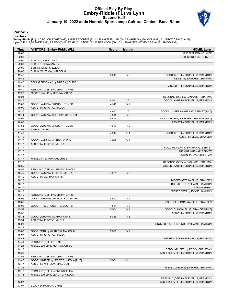## **Official Play-By-Play Embry-Riddle (FL) vs Lynn Second Half January 19, 2022 at de Hoernle Sports amp; Cultural Center - Boca Raton**



## **Period 2**

#### **Starters:**

**Embry-Riddle (FL)**: 1 CROUCH,ROMEO (G); 2 MURRAY,CHRIS (F); 12 JENKINS,ELIJAH (G); 22 WHITLOW,MALCOLM (G); 31 JEROTIC,NIKOLA (F);<br>**Lynn**: 0 ELLIS,BRANDEN (G); 1 PEEVY,CHRISTIAN (G); 3 BORNELUS,BRANDON (G); 10 KURNAZ,SERVE

| <b>Time</b>    | <b>VISITORS: Embry-Riddle (FL)</b>    | <b>Score</b> | <b>Margin</b>  | <b>HOME: Lynn</b>                                                |
|----------------|---------------------------------------|--------------|----------------|------------------------------------------------------------------|
| 20:00          |                                       |              |                | SUB OUT: DOANE, ALEX                                             |
| 20:00          |                                       |              |                | SUB IN: KURNAZ, SERVET                                           |
| 20:00          | SUB OUT: PARK, DAVID                  |              |                |                                                                  |
| 20:00          | SUB OUT: HENAGAN, CJ                  |              |                |                                                                  |
| 20:00          | SUB IN: JENKINS, ELIJAH               |              |                |                                                                  |
| 20:00          | SUB IN: WHITLOW, MALCOLM              |              |                |                                                                  |
| 19:42          |                                       | 39-41        | V <sub>2</sub> | GOOD! 3PTR by BORNELUS, BRANDON                                  |
| 19:42          |                                       |              |                | ASSIST by SANKARE, IBRAHIMA                                      |
| 19:40<br>19:40 | FOUL (PERSONAL) by MURRAY, CHRIS      |              |                | MISSED FT by BORNELUS, BRANDON                                   |
| 19:40          | REBOUND (DEF) by MURRAY, CHRIS        |              |                |                                                                  |
| 19:26          | MISSED LAYUP by MURRAY, CHRIS         |              |                |                                                                  |
| 19:21          |                                       |              |                | REBOUND (DEF) by SANKARE, IBRAHIMA                               |
| 19:15          |                                       | 41-41        | $\mathsf{T}$   | GOOD! LAYUP by BORNELUS, BRANDON                                 |
| 19:00          | GOOD! LAYUP by CROUCH, ROMEO          | 41-43        | V <sub>2</sub> |                                                                  |
| 19:00          | ASSIST by JEROTIC, NIKOLA             |              |                |                                                                  |
| 18:37          |                                       | 43-43        | $\mathsf T$    | GOOD! JUMPER by KURNAZ, SERVET [PNT]                             |
| 18:14          | GOOD! LAYUP by WHITLOW, MALCOLM       | 43-45        | V <sub>2</sub> |                                                                  |
| 18:05          |                                       | 45-45        | $\mathsf T$    | GOOD! LAYUP by SANKARE, IBRAHIMA [PNT]                           |
| 18:05          |                                       |              |                | ASSIST by BORNELUS, BRANDON                                      |
| 17:53          | GOOD! LAYUP by CROUCH, ROMEO          | 45-47        | V <sub>2</sub> |                                                                  |
| 17:52          | TIMEOUT 30SEC                         |              |                |                                                                  |
| 17:40          |                                       | 48-47        | H1             | GOOD! 3PTR by BORNELUS, BRANDON                                  |
| 17:40          |                                       |              |                | ASSIST by ELLIS, BRANDEN                                         |
| 17:17          | GOOD! LAYUP by MURRAY, CHRIS          | 48-49        | V <sub>1</sub> |                                                                  |
| 17:17          | ASSIST by JEROTIC, NIKOLA             |              |                |                                                                  |
| 17:17          |                                       |              |                | FOUL (PERSONAL) by KURNAZ, SERVET                                |
| 17:17          |                                       |              |                | SUB OUT: KURNAZ, SERVET                                          |
| 17:17          |                                       |              |                | SUB IN: PEEVY, CHRISTIAN                                         |
| 17:17          | MISSED FT by MURRAY, CHRIS            |              |                |                                                                  |
| 17:17          |                                       |              |                | REBOUND (DEF) by SANKARE, IBRAHIMA                               |
| 16:59          |                                       |              |                | MISSED LAYUP by BORNELUS, BRANDON                                |
| 16:55          | REBOUND (DEF) by JEROTIC, NIKOLA      |              |                |                                                                  |
| 16:49          | GOOD! LAYUP by JEROTIC, NIKOLA        | 48-51        | $V_3$          |                                                                  |
| 16:49          | ASSIST by MURRAY, CHRIS               |              |                |                                                                  |
| 16:23<br>16:17 |                                       |              |                | MISSED 3PTR by ELLIS, BRANDEN<br>REBOUND (OFF) by EVANS, JAMISON |
| 16:17          |                                       |              |                | TIMEOUT 30SEC                                                    |
| 16:13          |                                       |              |                | MISSED 3PTR by EVANS, JAMISON                                    |
| 16:10          | REBOUND (DEF) by MURRAY, CHRIS        |              |                |                                                                  |
| 16:06          | GOOD! LAYUP by CROUCH, ROMEO [FB]     | 48-53        | V <sub>5</sub> |                                                                  |
| 16:06          |                                       |              |                | FOUL (PERSONAL) by ELLIS, BRANDEN                                |
| 16:06          | GOOD! FT by CROUCH, ROMEO [FB]        | 48-54        | $V_6$          |                                                                  |
| 15:52          |                                       | 50-54        | V <sub>4</sub> | GOOD! DUNK by ELLIS, BRANDEN [PNT]                               |
| 15:52          |                                       |              |                | ASSIST by BORNELUS, BRANDON                                      |
| 15:34          | GOOD! LAYUP by MURRAY, CHRIS          | 50-56        | $V_6$          |                                                                  |
| 15:34          | ASSIST by JEROTIC, NIKOLA             |              |                |                                                                  |
| 15:23          |                                       |              |                | TURNOVER (OUTOFBOUNDS) by EVANS, JAMISON                         |
| 15:23          |                                       |              |                |                                                                  |
| 15:07          | GOOD! 3PTR by WHITLOW, MALCOLM        | 50-59        | V <sub>9</sub> |                                                                  |
| 15:07          | ASSIST by JEROTIC, NIKOLA             |              |                |                                                                  |
| 14:44          |                                       |              |                | MISSED 3PTR by BORNELUS, BRANDON                                 |
| 14:41          | REBOUND (DEF) by TEAM                 |              |                |                                                                  |
| 14:21          | MISSED LAYUP by MURRAY, CHRIS         |              |                |                                                                  |
| 14:18          |                                       |              |                | REBOUND (DEF) by PEEVY, CHRISTIAN                                |
| 13:59          |                                       |              |                | MISSED JUMPER by BORNELUS, BRANDON                               |
| 13:56          | REBOUND (DEF) by MURRAY, CHRIS        |              |                |                                                                  |
| 13:47          | GOOD! JUMPER by JEROTIC, NIKOLA [PNT] | $50 - 61$    | $V$ 11         |                                                                  |
| 13:47          | ASSIST by WHITLOW, MALCOLM            |              |                |                                                                  |
| 13:22          |                                       |              |                | MISSED LAYUP by SANKARE, IBRAHIMA                                |
| 13:19          | REBOUND (DEF) by JENKINS, ELIJAH      |              |                |                                                                  |
| 13:14          | MISSED LAYUP by JEROTIC, NIKOLA       |              |                |                                                                  |
| 13:11          |                                       |              |                | REBOUND (DEF) by BORNELUS, BRANDON                               |
| 13:07<br>13:07 |                                       |              |                | MISSED JUMPER by BORNELUS, BRANDON                               |
|                | BLOCK by MURRAY, CHRIS                |              |                |                                                                  |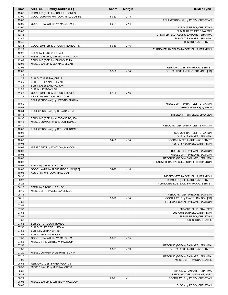| Time           | VISITORS: Embry-Riddle (FL)                                 | <b>Score</b> | <b>Margin</b>   | <b>HOME: Lynn</b>                                                     |
|----------------|-------------------------------------------------------------|--------------|-----------------|-----------------------------------------------------------------------|
| 13:02          | REBOUND (DEF) by CROUCH, ROMEO                              |              |                 |                                                                       |
| 13:00          | GOOD! LAYUP by WHITLOW, MALCOLM [FB]                        | 50-63        | V <sub>13</sub> |                                                                       |
| 13:00          |                                                             |              |                 | FOUL (PERSONAL) by PEEVY, CHRISTIAN                                   |
| 13:00          | GOOD! FT by WHITLOW, MALCOLM [FB]                           | 50-64        | V <sub>14</sub> |                                                                       |
| 13:00          |                                                             |              |                 | SUB OUT: PEEVY, CHRISTIAN                                             |
| 13:00          |                                                             |              |                 | SUB IN: BARTLETT, BRAXTON                                             |
| 12:48<br>12:45 |                                                             |              |                 | TURNOVER (BADPASS) by SANKARE, IBRAHIMA<br>SUB OUT: SANKARE, IBRAHIMA |
| 12:45          |                                                             |              |                 | SUB IN: KURNAZ, SERVET                                                |
| 12:34          | GOOD! JUMPER by CROUCH, ROMEO [PNT]                         | 50-66        | V <sub>16</sub> |                                                                       |
| 12:22          |                                                             |              |                 | TURNOVER (BADPASS) by BORNELUS, BRANDON                               |
| 12:22          | STEAL by JENKINS, ELIJAH                                    |              |                 |                                                                       |
| 12:12          | MISSED LAYUP by WHITLOW, MALCOLM                            |              |                 |                                                                       |
| 12:09          | REBOUND (OFF) by JENKINS, ELIJAH                            |              |                 |                                                                       |
| 12:08          | MISSED LAYUP by JENKINS, ELIJAH                             |              |                 |                                                                       |
| 12:06          |                                                             |              |                 | REBOUND (DEF) by KURNAZ, SERVET                                       |
| 12:00          |                                                             | 52-66        | V <sub>14</sub> | GOOD! LAYUP by ELLIS, BRANDEN [FB]                                    |
| 11:35          |                                                             |              |                 |                                                                       |
| 11:35          | SUB OUT: MURRAY, CHRIS                                      |              |                 |                                                                       |
| 11:35          | SUB OUT: JENKINS, ELIJAH                                    |              |                 |                                                                       |
| 11:35          | SUB IN: ALESSANDRO, JON                                     |              |                 |                                                                       |
| 11:35<br>11:32 | SUB IN: HENAGAN, CJ                                         | 52-68        | V <sub>16</sub> |                                                                       |
| 11:32          | GOOD! JUMPER by CROUCH, ROMEO<br>ASSIST by WHITLOW, MALCOLM |              |                 |                                                                       |
| 11:11          | FOUL (PERSONAL) by JEROTIC, NIKOLA                          |              |                 |                                                                       |
| 10:59          |                                                             |              |                 | MISSED 3PTR by BARTLETT, BRAXTON                                      |
| 10:54          |                                                             |              |                 | REBOUND (OFF) by TEAM                                                 |
| 10:54          | FOUL (PERSONAL) by HENAGAN, CJ                              |              |                 |                                                                       |
| 10:41          |                                                             |              |                 | MISSED 3PTR by ELLIS, BRANDEN                                         |
| 10:37          | REBOUND (DEF) by ALESSANDRO, JON                            |              |                 |                                                                       |
| 10:13          | MISSED JUMPER by CROUCH, ROMEO                              |              |                 |                                                                       |
| 10:10          |                                                             |              |                 | REBOUND (DEF) by BARTLETT, BRAXTON                                    |
| 10:03          | FOUL (PERSONAL) by CROUCH, ROMEO                            |              |                 |                                                                       |
| 10:03          |                                                             |              |                 | SUB OUT: BARTLETT, BRAXTON                                            |
| 10:03          |                                                             |              |                 | SUB IN: SANKARE, IBRAHIMA                                             |
| 10:03          |                                                             | 54-68        | V <sub>14</sub> | GOOD! JUMPER by KURNAZ, SERVET                                        |
| 10:03          |                                                             |              |                 | ASSIST by BORNELUS, BRANDON                                           |
| 10:03          | MISSED 3PTR by WHITLOW, MALCOLM                             |              |                 |                                                                       |
| 10:03          |                                                             |              |                 | REBOUND (DEF) by EVANS, JAMISON                                       |
| 10:03<br>10:03 |                                                             |              |                 | MISSED 3PTR by EVANS, JAMISON<br>REBOUND (OFF) by SANKARE, IBRAHIMA   |
| 10:03          |                                                             |              |                 | TURNOVER (BADPASS) by BORNELUS, BRANDON                               |
| 10:03          | STEAL by CROUCH, ROMEO                                      |              |                 |                                                                       |
| 10:03          | GOOD! LAYUP by ALESSANDRO, JON [FB]                         | 54-70        | V <sub>16</sub> |                                                                       |
| 10:03          | ASSIST by WHITLOW, MALCOLM                                  |              |                 |                                                                       |
| 08:30          |                                                             |              |                 | MISSED 3PTR by BORNELUS, BRANDON                                      |
| 08:28          |                                                             |              |                 | REBOUND (OFF) by KURNAZ, SERVET                                       |
| 08:25          |                                                             |              |                 | TURNOVER (LOSTBALL) by KURNAZ, SERVET                                 |
| 08:25          | STEAL by CROUCH, ROMEO                                      |              |                 |                                                                       |
| 08:19          | MISSED 3PTR by ALESSANDRO, JON                              |              |                 |                                                                       |
| 08:16          |                                                             |              |                 | REBOUND (DEF) by EVANS, JAMISON                                       |
| 08:11          |                                                             | 56-70        | V <sub>14</sub> | GOOD! LAYUP by EVANS, JAMISON [FB]                                    |
| 07:58          |                                                             |              |                 | FOUL (PERSONAL) by EVANS, JAMISON                                     |
| 07:58          |                                                             |              |                 |                                                                       |
| 07:58<br>07:58 |                                                             |              |                 | SUB OUT: ELLIS, BRANDEN<br>SUB OUT: BORNELUS, BRANDON                 |
| 07:58          |                                                             |              |                 | SUB IN: PEEVY, CHRISTIAN                                              |
| 07:58          |                                                             |              |                 | SUB IN: DOANE, ALEX                                                   |
| 07:58          | SUB OUT: CROUCH, ROMEO                                      |              |                 |                                                                       |
| 07:58          | SUB OUT: JEROTIC, NIKOLA                                    |              |                 |                                                                       |
| 07:58          | SUB IN: MURRAY, CHRIS                                       |              |                 |                                                                       |
| 07:58          | SUB IN: JENKINS, ELIJAH                                     |              |                 |                                                                       |
| 07:58          | GOOD! FT by WHITLOW, MALCOLM                                | 56-71        | V <sub>15</sub> |                                                                       |
| 07:58          | MISSED FT by WHITLOW, MALCOLM                               |              |                 |                                                                       |
| 07:58          |                                                             |              |                 | REBOUND (DEF) by SANKARE, IBRAHIMA                                    |
| 07:36          |                                                             | 58-71        | V <sub>13</sub> | GOOD! LAYUP by KURNAZ, SERVET                                         |
| 07:20          | MISSED JUMPER by JENKINS, ELIJAH                            |              |                 |                                                                       |
| 07:17          |                                                             |              |                 | REBOUND (DEF) by SANKARE, IBRAHIMA                                    |
| 07:00          |                                                             |              |                 | MISSED 3PTR by DOANE, ALEX                                            |
| 06:55          | REBOUND (DEF) by HENAGAN, CJ                                |              |                 |                                                                       |
| 06:38          | MISSED LAYUP by MURRAY, CHRIS                               |              |                 |                                                                       |
| 06:38          |                                                             |              |                 | BLOCK by SANKARE, IBRAHIMA                                            |
| 06:32<br>06:21 |                                                             | 60-71        | V <sub>11</sub> | REBOUND (DEF) by DOANE, ALEX<br>GOOD! LAYUP by PEEVY, CHRISTIAN       |
| 06:08          | MISSED LAYUP by WHITLOW, MALCOLM                            |              |                 |                                                                       |
| 06:08          |                                                             |              |                 | BLOCK by PEEVY, CHRISTIAN                                             |
|                |                                                             |              |                 |                                                                       |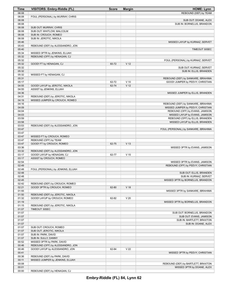| Time           | VISITORS: Embry-Riddle (FL)                                 | <b>Score</b> | <b>Margin</b>   | <b>HOME: Lynn</b>                    |
|----------------|-------------------------------------------------------------|--------------|-----------------|--------------------------------------|
| 06:08          |                                                             |              |                 | REBOUND (DEF) by TEAM                |
| 06:08          | FOUL (PERSONAL) by MURRAY, CHRIS                            |              |                 |                                      |
| 06:08          |                                                             |              |                 | SUB OUT: DOANE, ALEX                 |
| 06:08          |                                                             |              |                 | SUB IN: BORNELUS, BRANDON            |
| 06:08<br>06:08 | SUB OUT: MURRAY, CHRIS<br>SUB OUT: WHITLOW, MALCOLM         |              |                 |                                      |
| 06:08          | SUB IN: CROUCH, ROMEO                                       |              |                 |                                      |
| 06:08          | SUB IN: JEROTIC, NIKOLA                                     |              |                 |                                      |
| 05:46          |                                                             |              |                 | MISSED LAYUP by KURNAZ, SERVET       |
| 05:43          | REBOUND (DEF) by ALESSANDRO, JON                            |              |                 |                                      |
| 05:40          |                                                             |              |                 | TIMEOUT 30SEC                        |
| 05:34          | MISSED 3PTR by JENKINS, ELIJAH                              |              |                 |                                      |
| 05:32          | REBOUND (OFF) by HENAGAN, CJ                                |              |                 |                                      |
| 05:32          |                                                             |              |                 | FOUL (PERSONAL) by KURNAZ, SERVET    |
| 05:32          | GOOD! FT by HENAGAN, CJ                                     | 60-72        | V <sub>12</sub> |                                      |
| 05:32          |                                                             |              |                 | SUB OUT: KURNAZ, SERVET              |
| 05:32          |                                                             |              |                 | SUB IN: ELLIS, BRANDEN               |
| 05:32          | MISSED FT by HENAGAN, CJ                                    |              |                 |                                      |
| 05:31          |                                                             |              |                 | REBOUND (DEF) by SANKARE, IBRAHIMA   |
| 05:17          |                                                             | 62-72        | $V$ 10          | GOOD! JUMPER by PEEVY, CHRISTIAN     |
| 04:55<br>04:55 | GOOD! LAYUP by JEROTIC, NIKOLA<br>ASSIST by JENKINS, ELIJAH | 62-74        | V <sub>12</sub> |                                      |
| 04:36          |                                                             |              |                 | MISSED JUMPER by ELLIS, BRANDEN      |
| 04:31          | REBOUND (DEF) by JEROTIC, NIKOLA                            |              |                 |                                      |
| 04:19          | MISSED JUMPER by CROUCH, ROMEO                              |              |                 |                                      |
| 04:16          |                                                             |              |                 | REBOUND (DEF) by SANKARE, IBRAHIMA   |
| 04:09          |                                                             |              |                 | MISSED JUMPER by PEEVY, CHRISTIAN    |
| 04:04          |                                                             |              |                 | REBOUND (OFF) by EVANS, JAMISON      |
| 04:03          |                                                             |              |                 | MISSED LAYUP by EVANS, JAMISON       |
| 03:59          |                                                             |              |                 | REBOUND (OFF) by ELLIS, BRANDEN      |
| 03:58          |                                                             |              |                 | MISSED LAYUP by ELLIS, BRANDEN       |
| 03:53          | REBOUND (DEF) by ALESSANDRO, JON                            |              |                 |                                      |
| 03:47          |                                                             |              |                 | FOUL (PERSONAL) by SANKARE, IBRAHIMA |
| 03:47          |                                                             |              |                 |                                      |
| 03:47          | MISSED FT by CROUCH, ROMEO                                  |              |                 |                                      |
| 03:47          | REBOUND (OFF) by TEAM                                       |              |                 |                                      |
| 03:47<br>03:36 | GOOD! FT by CROUCH, ROMEO                                   | 62-75        | V <sub>13</sub> |                                      |
| 03:32          | REBOUND (DEF) by ALESSANDRO, JON                            |              |                 | MISSED 3PTR by EVANS, JAMISON        |
| 03:17          | GOOD! LAYUP by HENAGAN, CJ                                  | 62-77        | V <sub>15</sub> |                                      |
| 03:17          | ASSIST by CROUCH, ROMEO                                     |              |                 |                                      |
| 02:54          |                                                             |              |                 | MISSED 3PTR by EVANS, JAMISON        |
| 02:49          |                                                             |              |                 | REBOUND (OFF) by PEEVY, CHRISTIAN    |
| 02:48          | FOUL (PERSONAL) by JENKINS, ELIJAH                          |              |                 |                                      |
| 02:48          |                                                             |              |                 | SUB OUT: ELLIS, BRANDEN              |
| 02:48          |                                                             |              |                 | SUB IN: KURNAZ, SERVET               |
| 02:45          |                                                             |              |                 | MISSED 3PTR by BORNELUS, BRANDON     |
| 02:42          | REBOUND (DEF) by CROUCH, ROMEO                              |              |                 |                                      |
| 02:21          | GOOD! 3PTR by CROUCH, ROMEO                                 | 62-80        | V <sub>18</sub> |                                      |
| 01:55          |                                                             |              |                 | MISSED 3PTR by SANKARE, IBRAHIMA     |
| 01:50          | REBOUND (DEF) by JEROTIC, NIKOLA                            |              |                 |                                      |
| 01:32<br>01:19 | GOOD! LAYUP by CROUCH, ROMEO                                | 62-82        | V <sub>20</sub> | MISSED 3PTR by BORNELUS, BRANDON     |
| 01:15          | REBOUND (DEF) by JEROTIC, NIKOLA                            |              |                 |                                      |
| 01:07          | TIMEOUT 30SEC                                               |              |                 |                                      |
| 01:07          |                                                             |              |                 | SUB OUT: BORNELUS, BRANDON           |
| 01:07          |                                                             |              |                 | SUB OUT: EVANS, JAMISON              |
| 01:07          |                                                             |              |                 | SUB IN: BARTLETT, BRAXTON            |
| 01:07          |                                                             |              |                 | SUB IN: DOANE, ALEX                  |
| 01:07          | SUB OUT: CROUCH, ROMEO                                      |              |                 |                                      |
| 01:07          | SUB OUT: JEROTIC, NIKOLA                                    |              |                 |                                      |
| 01:07          | SUB IN: PARK, DAVID                                         |              |                 |                                      |
| 01:07          | SUB IN: SULLY, DANNY                                        |              |                 |                                      |
| 00:52          | MISSED 3PTR by PARK, DAVID                                  |              |                 |                                      |
| 00:46          | REBOUND (OFF) by ALESSANDRO, JON                            |              |                 |                                      |
| 00:46          | GOOD! LAYUP by ALESSANDRO, JON                              | 62-84        | V <sub>22</sub> |                                      |
| 00:41          |                                                             |              |                 | MISSED 3PTR by PEEVY, CHRISTIAN      |
| 00:36          | REBOUND (DEF) by PARK, DAVID                                |              |                 |                                      |
| 00:11          | MISSED JUMPER by JENKINS, ELIJAH                            |              |                 |                                      |
| 00:08          |                                                             |              |                 | REBOUND (DEF) by BARTLETT, BRAXTON   |
| 00:01          |                                                             |              |                 | MISSED 3PTR by DOANE, ALEX           |
| 00:00          | REBOUND (DEF) by HENAGAN, CJ                                |              |                 |                                      |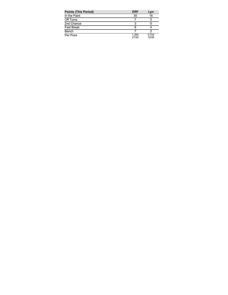| <b>Points (This Period)</b> | <b>ERF</b>     | Lyn            |
|-----------------------------|----------------|----------------|
| In the Paint                | 30             | 16             |
| Off Turns                   |                |                |
| 2nd Chance                  |                |                |
| <b>Fast Break</b>           |                |                |
| Bench                       |                |                |
| Per Poss                    | 1.265<br>21/34 | 0.743<br>12/35 |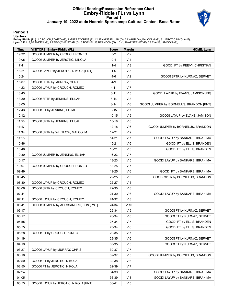# **Official Scoring/Possession Reference Chart Embry-Riddle (FL) vs Lynn Period 1 January 19, 2022 at de Hoernle Sports amp; Cultural Center - Boca Raton**



## **Period 1**

#### **Starters:**

**Embry-Riddle (FL)**: 1 CROUCH,ROMEO (G); 2 MURRAY,CHRIS (F); 12 JENKINS,ELIJAH (G); 22 WHITLOW,MALCOLM (G); 31 JEROTIC,NIKOLA (F);<br>**Lynn**: 0 ELLIS,BRANDEN (G); 1 PEEVY,CHRISTIAN (G); 3 BORNELUS,BRANDON (G); 10 KURNAZ,SERVE

| <b>Time</b> | <b>VISITORS: Embry-Riddle (FL)</b>    | <b>Score</b> | <b>Margin</b>  | <b>HOME: Lynn</b>                       |
|-------------|---------------------------------------|--------------|----------------|-----------------------------------------|
| 19:32       | GOOD! JUMPER by CROUCH, ROMEO         | $0 - 2$      | V <sub>2</sub> |                                         |
| 19:05       | GOOD! JUMPER by JEROTIC, NIKOLA       | 0-4          | V <sub>4</sub> |                                         |
| 17:41       |                                       | $1 - 4$      | $V_3$          | GOOD! FT by PEEVY, CHRISTIAN            |
| 16:21       | GOOD! LAYUP by JEROTIC, NIKOLA [PNT]  | 1-6          | V <sub>5</sub> |                                         |
| 15:24       |                                       | $4 - 6$      | V <sub>2</sub> | GOOD! 3PTR by KURNAZ, SERVET            |
| 15:07       | GOOD! 3PTR by MURRAY, CHRIS           | $4 - 9$      | V <sub>5</sub> |                                         |
| 14:23       | GOOD! LAYUP by CROUCH, ROMEO          | $4 - 11$     | V <sub>7</sub> |                                         |
| 13:43       |                                       | $6 - 11$     | V <sub>5</sub> | GOOD! LAYUP by EVANS, JAMISON [FB]      |
| 13:30       | GOOD! 3PTR by JENKINS, ELIJAH         | $6 - 14$     | V 8            |                                         |
| 13:05       |                                       | $8 - 14$     | $V_6$          | GOOD! JUMPER by BORNELUS, BRANDON [PNT] |
| 12:43       | GOOD! FT by JENKINS, ELIJAH           | $8 - 15$     | V <sub>7</sub> |                                         |
| 12:12       |                                       | $10 - 15$    | V <sub>5</sub> | GOOD! LAYUP by EVANS, JAMISON           |
| 11:58       | GOOD! 3PTR by JENKINS, ELIJAH         | $10 - 18$    | V 8            |                                         |
| 11:47       |                                       | 12-18        | $V_6$          | GOOD! JUMPER by BORNELUS, BRANDON       |
| 11:34       | GOOD! 3PTR by WHITLOW, MALCOLM        | $12 - 21$    | V <sub>9</sub> |                                         |
| 11:15       |                                       | $14 - 21$    | V <sub>7</sub> | GOOD! LAYUP by SANKARE, IBRAHIMA        |
| 10:46       |                                       | $15 - 21$    | $V_6$          | GOOD! FT by ELLIS, BRANDEN              |
| 10:46       |                                       | 16-21        | V <sub>5</sub> | GOOD! FT by ELLIS, BRANDEN              |
| 10:30       | GOOD! JUMPER by JENKINS, ELIJAH       | 16-23        | V <sub>7</sub> |                                         |
| 10:17       |                                       | 18-23        | V <sub>5</sub> | GOOD! LAYUP by SANKARE, IBRAHIMA        |
| 10:07       | GOOD! JUMPER by CROUCH, ROMEO         | 18-25        | V <sub>7</sub> |                                         |
| 09:49       |                                       | 19-25        | $V_6$          | GOOD! FT by SANKARE, IBRAHIMA           |
| 08:45       |                                       | 22-25        | $V_3$          | GOOD! 3PTR by BORNELUS, BRANDON         |
| 08:30       | GOOD! LAYUP by CROUCH, ROMEO          | 22-27        | V <sub>5</sub> |                                         |
| 08:06       | GOOD! 3PTR by CROUCH, ROMEO           | 22-30        | V8             |                                         |
| 07:41       |                                       | 24-30        | $V_6$          | GOOD! LAYUP by SANKARE, IBRAHIMA        |
| 07:11       | GOOD! LAYUP by CROUCH, ROMEO          | 24-32        | V 8            |                                         |
| 06:41       | GOOD! JUMPER by ALESSANDRO, JON [PNT] | 24-34        | $V$ 10         |                                         |
| 06:17       |                                       | 25-34        | V <sub>9</sub> | GOOD! FT by KURNAZ, SERVET              |
| 06:17       |                                       | 26-34        | V 8            | GOOD! FT by KURNAZ, SERVET              |
| 05:55       |                                       | 27-34        | V <sub>7</sub> | GOOD! FT by ELLIS, BRANDEN              |
| 05:55       |                                       | 28-34        | V6             | GOOD! FT by ELLIS, BRANDEN              |
| 05:28       | GOOD! FT by CROUCH, ROMEO             | 28-35        | V <sub>7</sub> |                                         |
| 04:19       |                                       | 29-35        | $V_6$          | GOOD! FT by KURNAZ, SERVET              |
| 04:19       |                                       | 30-35        | V <sub>5</sub> | GOOD! FT by KURNAZ, SERVET              |
| 03:27       | GOOD! LAYUP by MURRAY, CHRIS          | 30-37        | V <sub>7</sub> |                                         |
| 03:10       |                                       | 32-37        | V <sub>5</sub> | GOOD! JUMPER by BORNELUS, BRANDON       |
| 02:50       | GOOD! FT by JEROTIC, NIKOLA           | 32-38        | $V_6$          |                                         |
| 02:50       | GOOD! FT by JEROTIC, NIKOLA           | 32-39        | V <sub>7</sub> |                                         |
| 02:24       |                                       | 34-39        | V <sub>5</sub> | GOOD! LAYUP by SANKARE, IBRAHIMA        |
| 01:05       |                                       | 36-39        | $V_3$          | GOOD! LAYUP by SANKARE, IBRAHIMA        |
| 00:53       | GOOD! LAYUP by JEROTIC, NIKOLA [PNT]  | 36-41        | V <sub>5</sub> |                                         |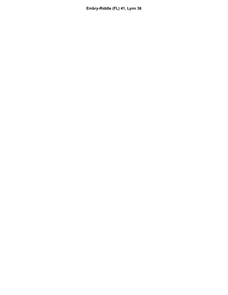**Embry-Riddle (FL) 41, Lynn 36**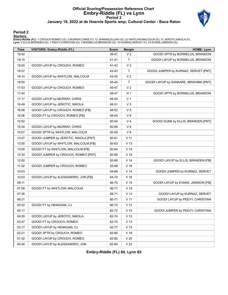# **Official Scoring/Possession Reference Chart Embry-Riddle (FL) vs Lynn Period 2 January 19, 2022 at de Hoernle Sports amp; Cultural Center - Boca Raton**



## **Period 2**

#### **Starters:**

**Embry-Riddle (FL)**: 1 CROUCH,ROMEO (G); 2 MURRAY,CHRIS (F); 12 JENKINS,ELIJAH (G); 22 WHITLOW,MALCOLM (G); 31 JEROTIC,NIKOLA (F);<br>**Lynn**: 0 ELLIS,BRANDEN (G); 1 PEEVY,CHRISTIAN (G); 3 BORNELUS,BRANDON (G); 10 KURNAZ,SERVE

| Time  | <b>VISITORS: Embry-Riddle (FL)</b>    | <b>Score</b> | <b>Margin</b>   | <b>HOME: Lynn</b>                      |
|-------|---------------------------------------|--------------|-----------------|----------------------------------------|
| 19:42 |                                       | 39-41        | V <sub>2</sub>  | GOOD! 3PTR by BORNELUS, BRANDON        |
| 19:15 |                                       | 41-41        | T.              | GOOD! LAYUP by BORNELUS, BRANDON       |
| 19:00 | GOOD! LAYUP by CROUCH, ROMEO          | 41-43        | V <sub>2</sub>  |                                        |
| 18:37 |                                       | 43-43        | T.              | GOOD! JUMPER by KURNAZ, SERVET [PNT]   |
| 18:14 | GOOD! LAYUP by WHITLOW, MALCOLM       | 43-45        | V <sub>2</sub>  |                                        |
| 18:05 |                                       | 45-45        | Τ               | GOOD! LAYUP by SANKARE, IBRAHIMA [PNT] |
| 17:53 | GOOD! LAYUP by CROUCH, ROMEO          | 45-47        | V <sub>2</sub>  |                                        |
| 17:40 |                                       | 48-47        | H <sub>1</sub>  | GOOD! 3PTR by BORNELUS, BRANDON        |
| 17:17 | GOOD! LAYUP by MURRAY, CHRIS          | 48-49        | V <sub>1</sub>  |                                        |
| 16:49 | GOOD! LAYUP by JEROTIC, NIKOLA        | 48-51        | $V_3$           |                                        |
| 16:06 | GOOD! LAYUP by CROUCH, ROMEO [FB]     | 48-53        | V <sub>5</sub>  |                                        |
| 16:06 | GOOD! FT by CROUCH, ROMEO [FB]        | 48-54        | $V_6$           |                                        |
| 15:52 |                                       | 50-54        | V <sub>4</sub>  | GOOD! DUNK by ELLIS, BRANDEN [PNT]     |
| 15:34 | GOOD! LAYUP by MURRAY, CHRIS          | 50-56        | $V_6$           |                                        |
| 15:07 | GOOD! 3PTR by WHITLOW, MALCOLM        | 50-59        | V <sub>9</sub>  |                                        |
| 13:47 | GOOD! JUMPER by JEROTIC, NIKOLA [PNT] | 50-61        | V <sub>11</sub> |                                        |
| 13:00 | GOOD! LAYUP by WHITLOW, MALCOLM [FB]  | 50-63        | V <sub>13</sub> |                                        |
| 13:00 | GOOD! FT by WHITLOW, MALCOLM [FB]     | 50-64        | V <sub>14</sub> |                                        |
| 12:34 | GOOD! JUMPER by CROUCH, ROMEO [PNT]   | 50-66        | $V$ 16          |                                        |
| 12:00 |                                       | 52-66        | V <sub>14</sub> | GOOD! LAYUP by ELLIS, BRANDEN [FB]     |
| 11:32 | GOOD! JUMPER by CROUCH, ROMEO         | 52-68        | $V$ 16          |                                        |
| 10:03 |                                       | 54-68        | V <sub>14</sub> | GOOD! JUMPER by KURNAZ, SERVET         |
| 10:03 | GOOD! LAYUP by ALESSANDRO, JON [FB]   | 54-70        | $V$ 16          |                                        |
| 08:11 |                                       | 56-70        | V <sub>14</sub> | GOOD! LAYUP by EVANS, JAMISON [FB]     |
| 07:58 | GOOD! FT by WHITLOW, MALCOLM          | 56-71        | V <sub>15</sub> |                                        |
| 07:36 |                                       | 58-71        | V <sub>13</sub> | GOOD! LAYUP by KURNAZ, SERVET          |
| 06:21 |                                       | 60-71        | $V$ 11          | GOOD! LAYUP by PEEVY, CHRISTIAN        |
| 05:32 | GOOD! FT by HENAGAN, CJ               | 60-72        | V <sub>12</sub> |                                        |
| 05:17 |                                       | 62-72        | $V$ 10          | GOOD! JUMPER by PEEVY, CHRISTIAN       |
| 04:55 | GOOD! LAYUP by JEROTIC, NIKOLA        | 62-74        | V <sub>12</sub> |                                        |
| 03:47 | GOOD! FT by CROUCH, ROMEO             | 62-75        | $V$ 13          |                                        |
| 03:17 | GOOD! LAYUP by HENAGAN, CJ            | 62-77        | V <sub>15</sub> |                                        |
| 02:21 | GOOD! 3PTR by CROUCH, ROMEO           | 62-80        | V <sub>18</sub> |                                        |
| 01:32 | GOOD! LAYUP by CROUCH, ROMEO          | 62-82        | V <sub>20</sub> |                                        |
| 00:46 | GOOD! LAYUP by ALESSANDRO, JON        | 62-84        | V <sub>22</sub> |                                        |

**Embry-Riddle (FL) 84, Lynn 62**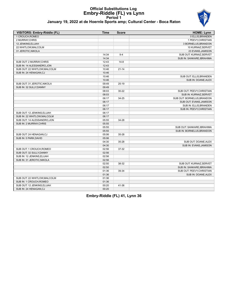# **Official Substitutions Log Embry-Riddle (FL) vs Lynn Period 1**



## **January 19, 2022 at de Hoernle Sports amp; Cultural Center - Boca Raton**

| 1 CROUCH, ROMEO<br>2 MURRAY, CHRIS<br>12 JENKINS, ELIJAH<br>22 WHITLOW.MALCOLM<br>31 JEROTIC, NIKOLA<br>14:34<br>$9 - 4$<br>14:34<br>SUB OUT: 2 MURRAY CHRIS<br>12:43<br>$14-8$<br>SUB IN: 14 ALESSANDRO, JON<br>12:43<br>SUB OUT: 22 WHITLOW.MALCOLM<br>10:46<br>$21 - 14$<br>SUB IN: 24 HENAGAN,CJ<br>10:46<br>10:46<br>10:46<br>SUB OUT: 31 JEROTIC, NIKOLA<br>09:49<br>$25-19$<br>SUB IN: 32 SULLY, DANNY<br>09:49<br>08:03<br>$30 - 22$<br>08:03<br>06:17<br>34-25<br>06:17<br>06:17<br>06:17<br>SUB OUT: 12 JENKINS.ELIJAH<br>06:17<br>SUB IN: 22 WHITLOW, MALCOLM<br>06:17<br>SUB OUT: 14 ALESSANDRO, JON<br>05:55<br>34-28<br>SUB IN: 2 MURRAY, CHRIS<br>05:55<br>05:55<br>05:55<br>SUB OUT: 24 HENAGAN,CJ<br>05:06<br>35-28<br>SUB IN: 5 PARK, DAVID<br>05:06<br>35-28<br>04:30<br>04:30<br>SUB OUT: 1 CROUCH, ROMEO<br>37-32<br>02:56<br>SUB OUT: 32 SULLY.DANNY<br>02:56<br>SUB IN: 12 JENKINS, ELIJAH<br>02:56<br>SUB IN: 31 JEROTIC, NIKOLA<br>02:56<br>02:50<br>38-32<br>02:50<br>01:36<br>39-34<br>01:36<br>SUB OUT: 22 WHITLOW, MALCOLM<br>01:36<br>SUB IN: 1 CROUCH, ROMEO<br>01:36 | VISITORS: Embry-Riddle (FL) | <b>Time</b> | <b>Score</b> | <b>HOME: Lynn</b>          |
|------------------------------------------------------------------------------------------------------------------------------------------------------------------------------------------------------------------------------------------------------------------------------------------------------------------------------------------------------------------------------------------------------------------------------------------------------------------------------------------------------------------------------------------------------------------------------------------------------------------------------------------------------------------------------------------------------------------------------------------------------------------------------------------------------------------------------------------------------------------------------------------------------------------------------------------------------------------------------------------------------------------------------------------------------------------------------------------------------|-----------------------------|-------------|--------------|----------------------------|
|                                                                                                                                                                                                                                                                                                                                                                                                                                                                                                                                                                                                                                                                                                                                                                                                                                                                                                                                                                                                                                                                                                      |                             |             |              | 0 ELLIS, BRANDEN           |
|                                                                                                                                                                                                                                                                                                                                                                                                                                                                                                                                                                                                                                                                                                                                                                                                                                                                                                                                                                                                                                                                                                      |                             |             |              | 1 PEEVY, CHRISTIAN         |
|                                                                                                                                                                                                                                                                                                                                                                                                                                                                                                                                                                                                                                                                                                                                                                                                                                                                                                                                                                                                                                                                                                      |                             |             |              | 3 BORNELUS, BRANDON        |
|                                                                                                                                                                                                                                                                                                                                                                                                                                                                                                                                                                                                                                                                                                                                                                                                                                                                                                                                                                                                                                                                                                      |                             |             |              | 10 KURNAZ, SERVET          |
|                                                                                                                                                                                                                                                                                                                                                                                                                                                                                                                                                                                                                                                                                                                                                                                                                                                                                                                                                                                                                                                                                                      |                             |             |              | 23 EVANS, JAMISON          |
|                                                                                                                                                                                                                                                                                                                                                                                                                                                                                                                                                                                                                                                                                                                                                                                                                                                                                                                                                                                                                                                                                                      |                             |             |              | SUB OUT: KURNAZ, SERVET    |
|                                                                                                                                                                                                                                                                                                                                                                                                                                                                                                                                                                                                                                                                                                                                                                                                                                                                                                                                                                                                                                                                                                      |                             |             |              | SUB IN: SANKARE, IBRAHIMA  |
|                                                                                                                                                                                                                                                                                                                                                                                                                                                                                                                                                                                                                                                                                                                                                                                                                                                                                                                                                                                                                                                                                                      |                             |             |              |                            |
|                                                                                                                                                                                                                                                                                                                                                                                                                                                                                                                                                                                                                                                                                                                                                                                                                                                                                                                                                                                                                                                                                                      |                             |             |              |                            |
|                                                                                                                                                                                                                                                                                                                                                                                                                                                                                                                                                                                                                                                                                                                                                                                                                                                                                                                                                                                                                                                                                                      |                             |             |              |                            |
|                                                                                                                                                                                                                                                                                                                                                                                                                                                                                                                                                                                                                                                                                                                                                                                                                                                                                                                                                                                                                                                                                                      |                             |             |              |                            |
|                                                                                                                                                                                                                                                                                                                                                                                                                                                                                                                                                                                                                                                                                                                                                                                                                                                                                                                                                                                                                                                                                                      |                             |             |              | SUB OUT: ELLIS, BRANDEN    |
|                                                                                                                                                                                                                                                                                                                                                                                                                                                                                                                                                                                                                                                                                                                                                                                                                                                                                                                                                                                                                                                                                                      |                             |             |              | SUB IN: DOANE, ALEX        |
|                                                                                                                                                                                                                                                                                                                                                                                                                                                                                                                                                                                                                                                                                                                                                                                                                                                                                                                                                                                                                                                                                                      |                             |             |              |                            |
|                                                                                                                                                                                                                                                                                                                                                                                                                                                                                                                                                                                                                                                                                                                                                                                                                                                                                                                                                                                                                                                                                                      |                             |             |              |                            |
|                                                                                                                                                                                                                                                                                                                                                                                                                                                                                                                                                                                                                                                                                                                                                                                                                                                                                                                                                                                                                                                                                                      |                             |             |              | SUB OUT: PEEVY, CHRISTIAN  |
|                                                                                                                                                                                                                                                                                                                                                                                                                                                                                                                                                                                                                                                                                                                                                                                                                                                                                                                                                                                                                                                                                                      |                             |             |              | SUB IN: KURNAZ, SERVET     |
|                                                                                                                                                                                                                                                                                                                                                                                                                                                                                                                                                                                                                                                                                                                                                                                                                                                                                                                                                                                                                                                                                                      |                             |             |              | SUB OUT: BORNELUS, BRANDON |
|                                                                                                                                                                                                                                                                                                                                                                                                                                                                                                                                                                                                                                                                                                                                                                                                                                                                                                                                                                                                                                                                                                      |                             |             |              | SUB OUT: EVANS, JAMISON    |
|                                                                                                                                                                                                                                                                                                                                                                                                                                                                                                                                                                                                                                                                                                                                                                                                                                                                                                                                                                                                                                                                                                      |                             |             |              | SUB IN: ELLIS, BRANDEN     |
|                                                                                                                                                                                                                                                                                                                                                                                                                                                                                                                                                                                                                                                                                                                                                                                                                                                                                                                                                                                                                                                                                                      |                             |             |              | SUB IN: PEEVY, CHRISTIAN   |
|                                                                                                                                                                                                                                                                                                                                                                                                                                                                                                                                                                                                                                                                                                                                                                                                                                                                                                                                                                                                                                                                                                      |                             |             |              |                            |
|                                                                                                                                                                                                                                                                                                                                                                                                                                                                                                                                                                                                                                                                                                                                                                                                                                                                                                                                                                                                                                                                                                      |                             |             |              |                            |
|                                                                                                                                                                                                                                                                                                                                                                                                                                                                                                                                                                                                                                                                                                                                                                                                                                                                                                                                                                                                                                                                                                      |                             |             |              |                            |
|                                                                                                                                                                                                                                                                                                                                                                                                                                                                                                                                                                                                                                                                                                                                                                                                                                                                                                                                                                                                                                                                                                      |                             |             |              |                            |
|                                                                                                                                                                                                                                                                                                                                                                                                                                                                                                                                                                                                                                                                                                                                                                                                                                                                                                                                                                                                                                                                                                      |                             |             |              | SUB OUT: SANKARE, IBRAHIMA |
|                                                                                                                                                                                                                                                                                                                                                                                                                                                                                                                                                                                                                                                                                                                                                                                                                                                                                                                                                                                                                                                                                                      |                             |             |              | SUB IN: BORNELUS.BRANDON   |
|                                                                                                                                                                                                                                                                                                                                                                                                                                                                                                                                                                                                                                                                                                                                                                                                                                                                                                                                                                                                                                                                                                      |                             |             |              |                            |
|                                                                                                                                                                                                                                                                                                                                                                                                                                                                                                                                                                                                                                                                                                                                                                                                                                                                                                                                                                                                                                                                                                      |                             |             |              |                            |
|                                                                                                                                                                                                                                                                                                                                                                                                                                                                                                                                                                                                                                                                                                                                                                                                                                                                                                                                                                                                                                                                                                      |                             |             |              | SUB OUT: DOANE, ALEX       |
|                                                                                                                                                                                                                                                                                                                                                                                                                                                                                                                                                                                                                                                                                                                                                                                                                                                                                                                                                                                                                                                                                                      |                             |             |              | SUB IN: EVANS, JAMISON     |
|                                                                                                                                                                                                                                                                                                                                                                                                                                                                                                                                                                                                                                                                                                                                                                                                                                                                                                                                                                                                                                                                                                      |                             |             |              |                            |
|                                                                                                                                                                                                                                                                                                                                                                                                                                                                                                                                                                                                                                                                                                                                                                                                                                                                                                                                                                                                                                                                                                      |                             |             |              |                            |
|                                                                                                                                                                                                                                                                                                                                                                                                                                                                                                                                                                                                                                                                                                                                                                                                                                                                                                                                                                                                                                                                                                      |                             |             |              |                            |
|                                                                                                                                                                                                                                                                                                                                                                                                                                                                                                                                                                                                                                                                                                                                                                                                                                                                                                                                                                                                                                                                                                      |                             |             |              |                            |
|                                                                                                                                                                                                                                                                                                                                                                                                                                                                                                                                                                                                                                                                                                                                                                                                                                                                                                                                                                                                                                                                                                      |                             |             |              | SUB OUT: KURNAZ.SERVET     |
|                                                                                                                                                                                                                                                                                                                                                                                                                                                                                                                                                                                                                                                                                                                                                                                                                                                                                                                                                                                                                                                                                                      |                             |             |              | SUB IN: SANKARE, IBRAHIMA  |
|                                                                                                                                                                                                                                                                                                                                                                                                                                                                                                                                                                                                                                                                                                                                                                                                                                                                                                                                                                                                                                                                                                      |                             |             |              | SUB OUT: PEEVY, CHRISTIAN  |
|                                                                                                                                                                                                                                                                                                                                                                                                                                                                                                                                                                                                                                                                                                                                                                                                                                                                                                                                                                                                                                                                                                      |                             |             |              | SUB IN: DOANE, ALEX        |
|                                                                                                                                                                                                                                                                                                                                                                                                                                                                                                                                                                                                                                                                                                                                                                                                                                                                                                                                                                                                                                                                                                      |                             |             |              |                            |
|                                                                                                                                                                                                                                                                                                                                                                                                                                                                                                                                                                                                                                                                                                                                                                                                                                                                                                                                                                                                                                                                                                      |                             |             |              |                            |
| SUB OUT: 12 JENKINS, ELIJAH<br>00:20<br>41-36                                                                                                                                                                                                                                                                                                                                                                                                                                                                                                                                                                                                                                                                                                                                                                                                                                                                                                                                                                                                                                                        |                             |             |              |                            |
| SUB IN: 24 HENAGAN,CJ<br>00:20                                                                                                                                                                                                                                                                                                                                                                                                                                                                                                                                                                                                                                                                                                                                                                                                                                                                                                                                                                                                                                                                       |                             |             |              |                            |

# **Embry-Riddle (FL) 41, Lynn 36**